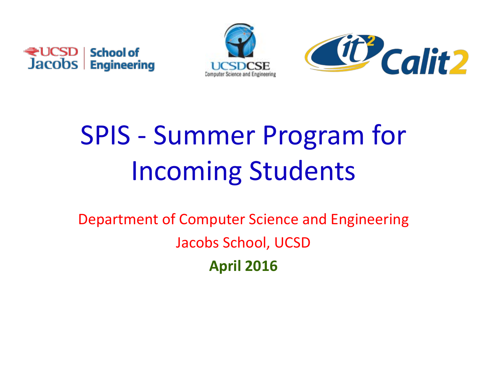





# SPIS - Summer Program for Incoming Students

Department of Computer Science and Engineering Jacobs School, UCSD **April 2016**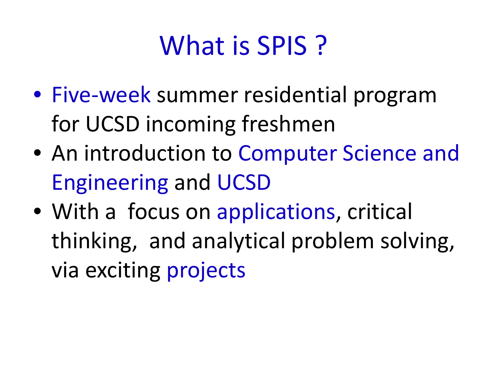# What is **SPIS**?

- Five-week summer residential program for UCSD incoming freshmen
- An introduction to Computer Science and Engineering and UCSD
- With a focus on applications, critical thinking, and analytical problem solving, via exciting projects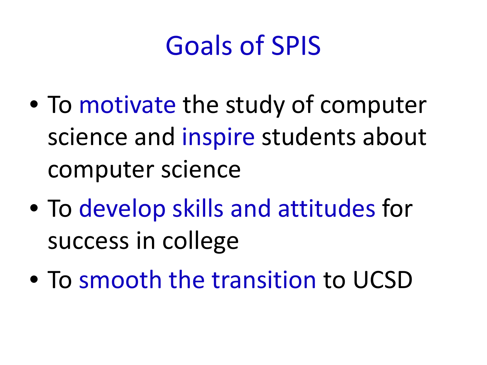## Goals of SPIS

- To motivate the study of computer science and inspire students about computer science
- To develop skills and attitudes for success in college
- To smooth the transition to UCSD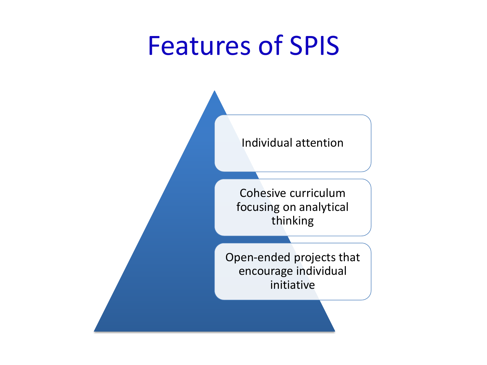#### Features of SPIS



Cohesive curriculum focusing on analytical thinking

Open-ended projects that encourage individual initiative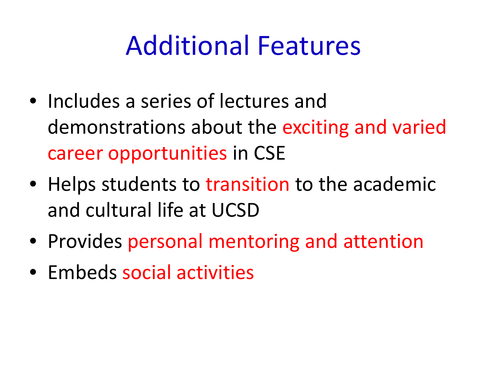### Additional Features

- Includes a series of lectures and demonstrations about the exciting and varied career opportunities in CSE
- Helps students to transition to the academic and cultural life at UCSD
- Provides personal mentoring and attention
- Embeds social activities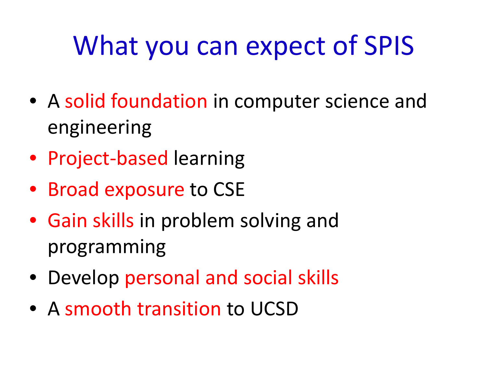# What you can expect of SPIS

- A solid foundation in computer science and engineering
- Project-based learning
- Broad exposure to CSE
- Gain skills in problem solving and programming
- Develop personal and social skills
- A smooth transition to UCSD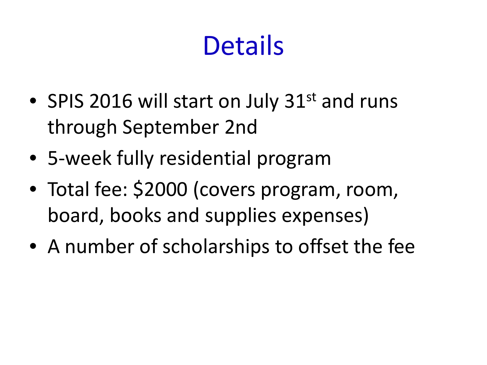# **Details**

- SPIS 2016 will start on July 31<sup>st</sup> and runs through September 2nd
- 5-week fully residential program
- Total fee: \$2000 (covers program, room, board, books and supplies expenses)
- A number of scholarships to offset the fee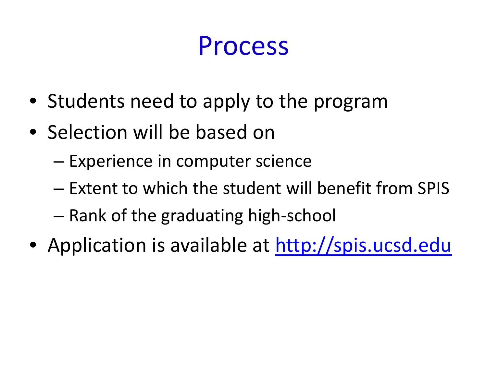#### Process

- Students need to apply to the program
- Selection will be based on
	- Experience in computer science
	- Extent to which the student will benefit from SPIS
	- Rank of the graduating high-school
- Application is available at [http://spis.ucsd.edu](http://spis.ucsd.edu/)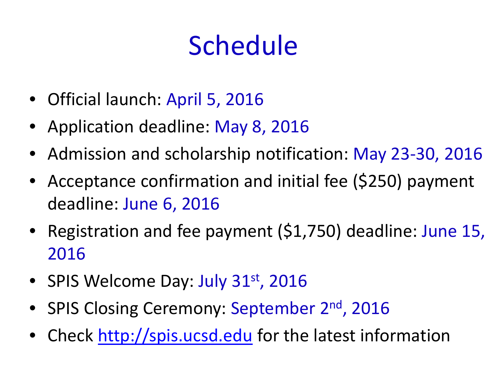# Schedule

- Official launch: April 5, 2016
- Application deadline: May 8, 2016
- Admission and scholarship notification: May 23-30, 2016
- Acceptance confirmation and initial fee (\$250) payment deadline: June 6, 2016
- Registration and fee payment (\$1,750) deadline: June 15, 2016
- SPIS Welcome Day: July 31<sup>st</sup>, 2016
- SPIS Closing Ceremony: September 2<sup>nd</sup>, 2016
- Check [http://spis.ucsd.edu](http://spis.ucsd.edu/) for the latest information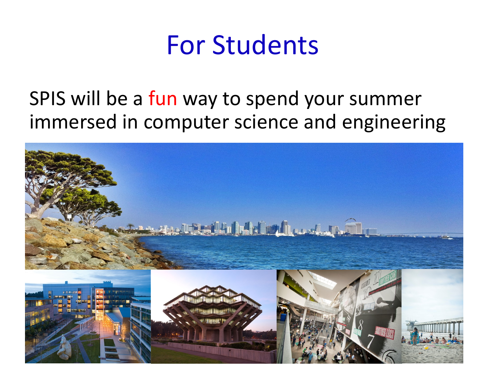

#### SPIS will be a fun way to spend your summer immersed in computer science and engineering

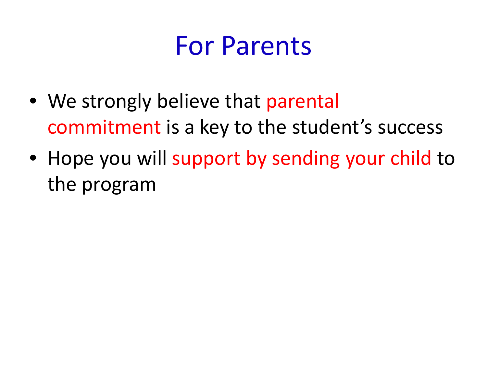### For Parents

- We strongly believe that parental commitment is a key to the student's success
- Hope you will support by sending your child to the program